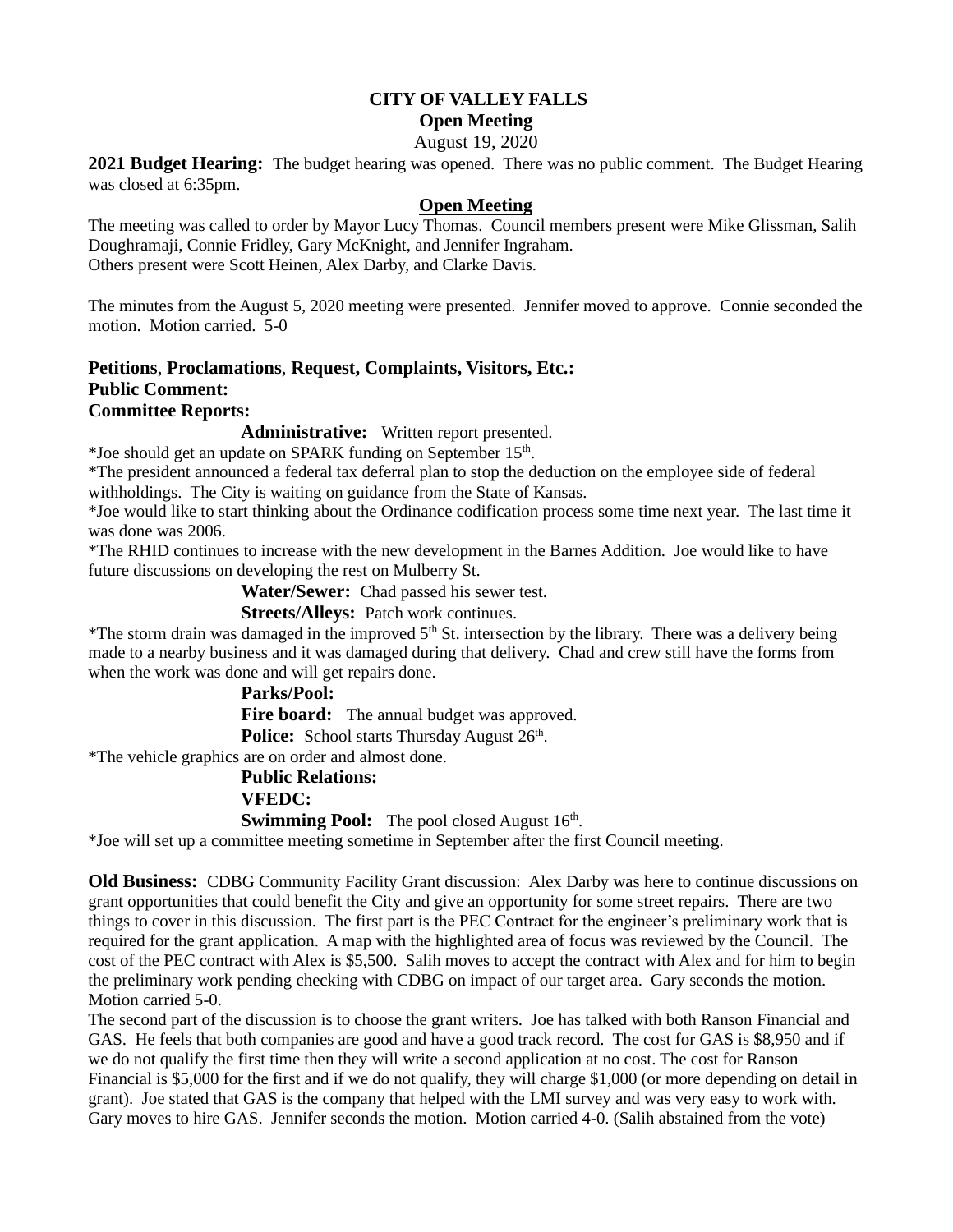## **CITY OF VALLEY FALLS**

**Open Meeting**

August 19, 2020

**2021 Budget Hearing:** The budget hearing was opened. There was no public comment. The Budget Hearing was closed at 6:35pm.

## **Open Meeting**

The meeting was called to order by Mayor Lucy Thomas. Council members present were Mike Glissman, Salih Doughramaji, Connie Fridley, Gary McKnight, and Jennifer Ingraham. Others present were Scott Heinen, Alex Darby, and Clarke Davis.

The minutes from the August 5, 2020 meeting were presented. Jennifer moved to approve. Connie seconded the motion. Motion carried. 5-0

### **Petitions**, **Proclamations**, **Request, Complaints, Visitors, Etc.: Public Comment: Committee Reports:**

**Administrative:** Written report presented.

\*Joe should get an update on SPARK funding on September 15<sup>th</sup>.

\*The president announced a federal tax deferral plan to stop the deduction on the employee side of federal withholdings. The City is waiting on guidance from the State of Kansas.

\*Joe would like to start thinking about the Ordinance codification process some time next year. The last time it was done was 2006.

\*The RHID continues to increase with the new development in the Barnes Addition. Joe would like to have future discussions on developing the rest on Mulberry St.

**Water/Sewer:** Chad passed his sewer test.

**Streets/Alleys:** Patch work continues.

\*The storm drain was damaged in the improved  $5<sup>th</sup>$  St. intersection by the library. There was a delivery being made to a nearby business and it was damaged during that delivery. Chad and crew still have the forms from when the work was done and will get repairs done.

## **Parks/Pool:**

Fire board: The annual budget was approved.

Police: School starts Thursday August 26<sup>th</sup>.

\*The vehicle graphics are on order and almost done.

#### **Public Relations:**

#### **VFEDC:**

**Swimming Pool:** The pool closed August 16<sup>th</sup>.

\*Joe will set up a committee meeting sometime in September after the first Council meeting.

**Old Business:** CDBG Community Facility Grant discussion: Alex Darby was here to continue discussions on grant opportunities that could benefit the City and give an opportunity for some street repairs. There are two things to cover in this discussion. The first part is the PEC Contract for the engineer's preliminary work that is required for the grant application. A map with the highlighted area of focus was reviewed by the Council. The cost of the PEC contract with Alex is \$5,500. Salih moves to accept the contract with Alex and for him to begin the preliminary work pending checking with CDBG on impact of our target area. Gary seconds the motion. Motion carried 5-0.

The second part of the discussion is to choose the grant writers. Joe has talked with both Ranson Financial and GAS. He feels that both companies are good and have a good track record. The cost for GAS is \$8,950 and if we do not qualify the first time then they will write a second application at no cost. The cost for Ranson Financial is \$5,000 for the first and if we do not qualify, they will charge \$1,000 (or more depending on detail in grant). Joe stated that GAS is the company that helped with the LMI survey and was very easy to work with. Gary moves to hire GAS. Jennifer seconds the motion. Motion carried 4-0. (Salih abstained from the vote)